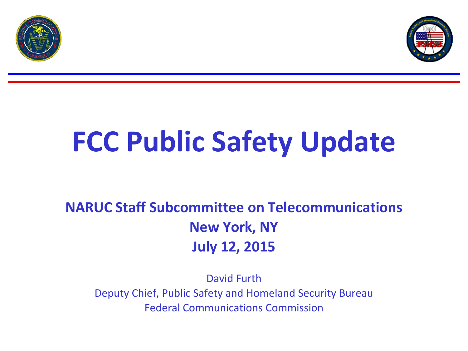



## **FCC Public Safety Update**

## **NARUC Staff Subcommittee on Telecommunications New York, NY July 12, 2015**

David Furth Deputy Chief, Public Safety and Homeland Security Bureau Federal Communications Commission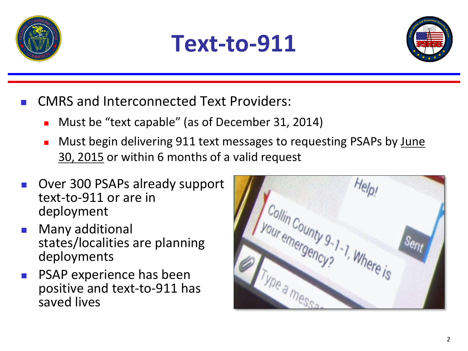





- CMRS and Interconnected Text Providers:
	- **Must be "text capable" (as of December 31, 2014)**
	- Must begin delivering 911 text messages to requesting PSAPs by June 30, 2015 or within 6 months of a valid request
- Over 300 PSAPs already support text-to-911 or are in deployment
- Many additional states/localities are planning deployments
- PSAP experience has been positive and text-to-911 has saved lives

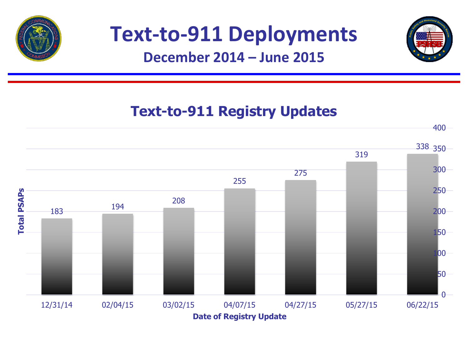

## **Text-to-911 Deployments**



## **Text-to-911 Registry Updates**

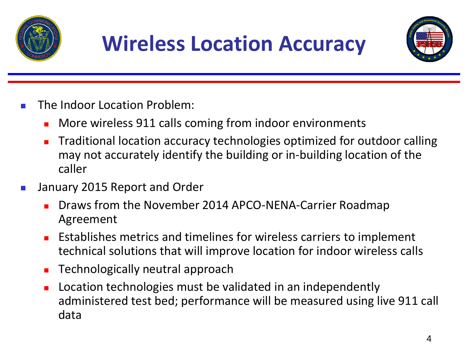



- The Indoor Location Problem:
	- **•** More wireless 911 calls coming from indoor environments
	- Traditional location accuracy technologies optimized for outdoor calling may not accurately identify the building or in-building location of the caller
- **January 2015 Report and Order** 
	- **Draws from the November 2014 APCO-NENA-Carrier Roadmap** Agreement
	- Establishes metrics and timelines for wireless carriers to implement technical solutions that will improve location for indoor wireless calls
	- Technologically neutral approach
	- Location technologies must be validated in an independently administered test bed; performance will be measured using live 911 call data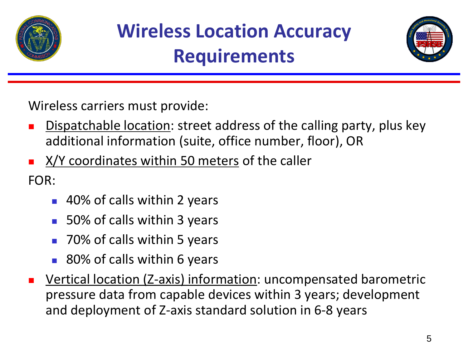



Wireless carriers must provide:

- Dispatchable location: street address of the calling party, plus key additional information (suite, office number, floor), OR
- X/Y coordinates within 50 meters of the caller

FOR:

- 40% of calls within 2 years
- 50% of calls within 3 years
- 70% of calls within 5 years
- 80% of calls within 6 years
- Vertical location (Z-axis) information: uncompensated barometric pressure data from capable devices within 3 years; development and deployment of Z-axis standard solution in 6-8 years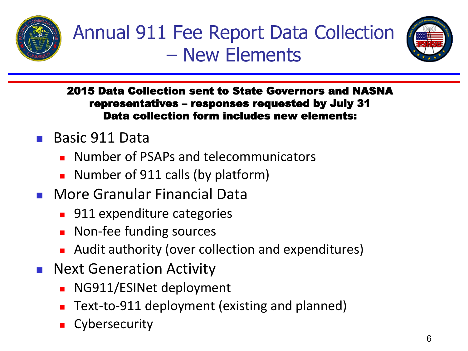



2015 Data Collection sent to State Governors and NASNA representatives – responses requested by July 31 Data collection form includes new elements:

- Basic 911 Data
	- Number of PSAPs and telecommunicators
	- **Number of 911 calls (by platform)**
- **Nore Granular Financial Data** 
	- **911 expenditure categories**
	- **Non-fee funding sources**
	- **Audit authority (over collection and expenditures)**
- **Next Generation Activity** 
	- NG911/ESINet deployment
	- Text-to-911 deployment (existing and planned)
	- **Cybersecurity**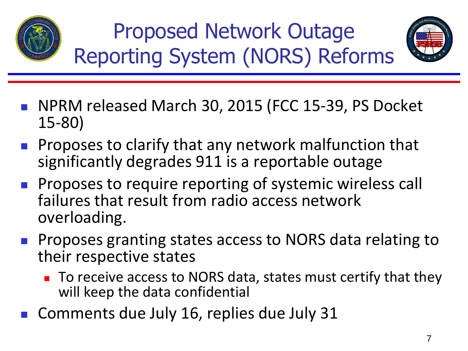

Proposed Network Outage Reporting System (NORS) Reforms



- NPRM released March 30, 2015 (FCC 15-39, PS Docket 15-80)
- **Proposes to clarify that any network malfunction that** significantly degrades 911 is a reportable outage
- **Proposes to require reporting of systemic wireless call** failures that result from radio access network overloading.
- **Proposes granting states access to NORS data relating to** their respective states
	- To receive access to NORS data, states must certify that they will keep the data confidential
- Comments due July 16, replies due July 31